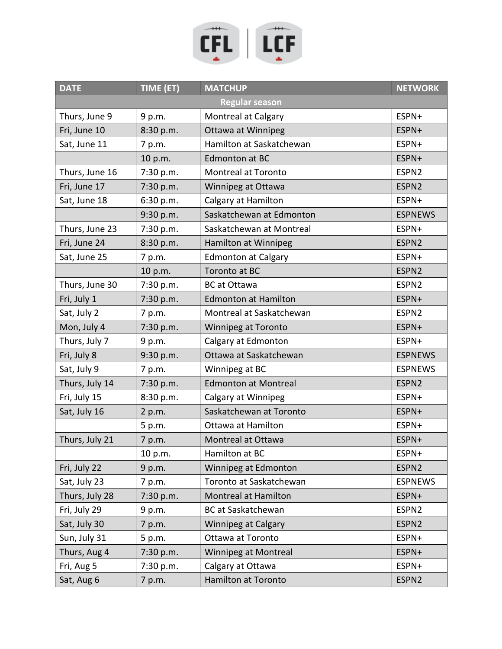

| <b>DATE</b>    | TIME (ET) | <b>MATCHUP</b>              | <b>NETWORK</b>    |
|----------------|-----------|-----------------------------|-------------------|
|                |           | <b>Regular season</b>       |                   |
| Thurs, June 9  | 9 p.m.    | <b>Montreal at Calgary</b>  | ESPN+             |
| Fri, June 10   | 8:30 p.m. | Ottawa at Winnipeg          | ESPN+             |
| Sat, June 11   | 7 p.m.    | Hamilton at Saskatchewan    | ESPN+             |
|                | 10 p.m.   | Edmonton at BC              | ESPN+             |
| Thurs, June 16 | 7:30 p.m. | Montreal at Toronto         | ESPN <sub>2</sub> |
| Fri, June 17   | 7:30 p.m. | Winnipeg at Ottawa          | ESPN2             |
| Sat, June 18   | 6:30 p.m. | Calgary at Hamilton         | ESPN+             |
|                | 9:30 p.m. | Saskatchewan at Edmonton    | <b>ESPNEWS</b>    |
| Thurs, June 23 | 7:30 p.m. | Saskatchewan at Montreal    | ESPN+             |
| Fri, June 24   | 8:30 p.m. | Hamilton at Winnipeg        | ESPN <sub>2</sub> |
| Sat, June 25   | 7 p.m.    | <b>Edmonton at Calgary</b>  | ESPN+             |
|                | 10 p.m.   | Toronto at BC               | ESPN <sub>2</sub> |
| Thurs, June 30 | 7:30 p.m. | <b>BC</b> at Ottawa         | ESPN <sub>2</sub> |
| Fri, July 1    | 7:30 p.m. | <b>Edmonton at Hamilton</b> | ESPN+             |
| Sat, July 2    | 7 p.m.    | Montreal at Saskatchewan    | ESPN2             |
| Mon, July 4    | 7:30 p.m. | Winnipeg at Toronto         | ESPN+             |
| Thurs, July 7  | 9 p.m.    | Calgary at Edmonton         | ESPN+             |
| Fri, July 8    | 9:30 p.m. | Ottawa at Saskatchewan      | <b>ESPNEWS</b>    |
| Sat, July 9    | 7 p.m.    | Winnipeg at BC              | <b>ESPNEWS</b>    |
| Thurs, July 14 | 7:30 p.m. | <b>Edmonton at Montreal</b> | ESPN2             |
| Fri, July 15   | 8:30 p.m. | Calgary at Winnipeg         | ESPN+             |
| Sat, July 16   | 2 p.m.    | Saskatchewan at Toronto     | ESPN+             |
|                | 5 p.m.    | Ottawa at Hamilton          | ESPN+             |
| Thurs, July 21 | 7 p.m.    | Montreal at Ottawa          | ESPN+             |
|                | 10 p.m.   | Hamilton at BC              | ESPN+             |
| Fri, July 22   | 9 p.m.    | Winnipeg at Edmonton        | ESPN <sub>2</sub> |
| Sat, July 23   | 7 p.m.    | Toronto at Saskatchewan     | <b>ESPNEWS</b>    |
| Thurs, July 28 | 7:30 p.m. | Montreal at Hamilton        | ESPN+             |
| Fri, July 29   | 9 p.m.    | <b>BC</b> at Saskatchewan   | ESPN <sub>2</sub> |
| Sat, July 30   | 7 p.m.    | <b>Winnipeg at Calgary</b>  | ESPN2             |
| Sun, July 31   | 5 p.m.    | Ottawa at Toronto           | ESPN+             |
| Thurs, Aug 4   | 7:30 p.m. | <b>Winnipeg at Montreal</b> | ESPN+             |
| Fri, Aug 5     | 7:30 p.m. | Calgary at Ottawa           | ESPN+             |
| Sat, Aug 6     | 7 p.m.    | Hamilton at Toronto         | ESPN2             |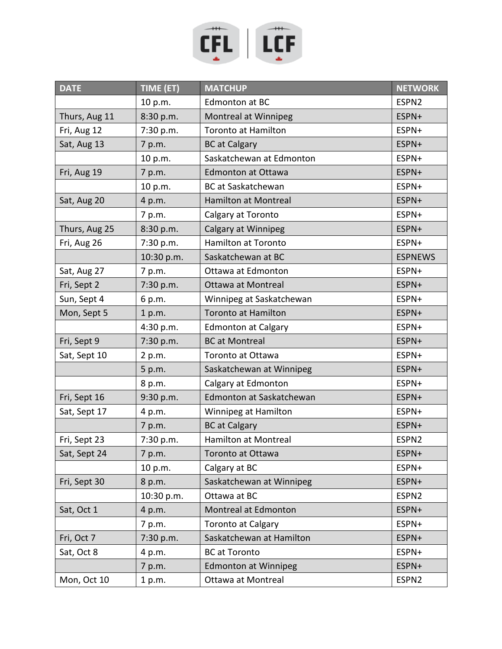

| <b>DATE</b>   | TIME (ET)  | <b>MATCHUP</b>              | <b>NETWORK</b>    |
|---------------|------------|-----------------------------|-------------------|
|               | 10 p.m.    | Edmonton at BC              | ESPN <sub>2</sub> |
| Thurs, Aug 11 | 8:30 p.m.  | Montreal at Winnipeg        | ESPN+             |
| Fri, Aug 12   | 7:30 p.m.  | <b>Toronto at Hamilton</b>  | ESPN+             |
| Sat, Aug 13   | 7 p.m.     | <b>BC</b> at Calgary        | ESPN+             |
|               | 10 p.m.    | Saskatchewan at Edmonton    | ESPN+             |
| Fri, Aug 19   | 7 p.m.     | <b>Edmonton at Ottawa</b>   | ESPN+             |
|               | 10 p.m.    | <b>BC</b> at Saskatchewan   | ESPN+             |
| Sat, Aug 20   | 4 p.m.     | <b>Hamilton at Montreal</b> | ESPN+             |
|               | 7 p.m.     | Calgary at Toronto          | ESPN+             |
| Thurs, Aug 25 | 8:30 p.m.  | Calgary at Winnipeg         | ESPN+             |
| Fri, Aug 26   | 7:30 p.m.  | Hamilton at Toronto         | ESPN+             |
|               | 10:30 p.m. | Saskatchewan at BC          | <b>ESPNEWS</b>    |
| Sat, Aug 27   | 7 p.m.     | Ottawa at Edmonton          | ESPN+             |
| Fri, Sept 2   | 7:30 p.m.  | Ottawa at Montreal          | ESPN+             |
| Sun, Sept 4   | 6 p.m.     | Winnipeg at Saskatchewan    | ESPN+             |
| Mon, Sept 5   | 1 p.m.     | <b>Toronto at Hamilton</b>  | ESPN+             |
|               | 4:30 p.m.  | <b>Edmonton at Calgary</b>  | ESPN+             |
| Fri, Sept 9   | 7:30 p.m.  | <b>BC</b> at Montreal       | ESPN+             |
| Sat, Sept 10  | 2 p.m.     | Toronto at Ottawa           | ESPN+             |
|               | 5 p.m.     | Saskatchewan at Winnipeg    | ESPN+             |
|               | 8 p.m.     | Calgary at Edmonton         | ESPN+             |
| Fri, Sept 16  | 9:30 p.m.  | Edmonton at Saskatchewan    | ESPN+             |
| Sat, Sept 17  | 4 p.m.     | Winnipeg at Hamilton        | ESPN+             |
|               | 7 p.m.     | <b>BC</b> at Calgary        | ESPN+             |
| Fri, Sept 23  | 7:30 p.m.  | Hamilton at Montreal        | ESPN2             |
| Sat, Sept 24  | 7 p.m.     | Toronto at Ottawa           | ESPN+             |
|               | 10 p.m.    | Calgary at BC               | ESPN+             |
| Fri, Sept 30  | 8 p.m.     | Saskatchewan at Winnipeg    | ESPN+             |
|               | 10:30 p.m. | Ottawa at BC                | ESPN <sub>2</sub> |
| Sat, Oct 1    | 4 p.m.     | Montreal at Edmonton        | ESPN+             |
|               | 7 p.m.     | <b>Toronto at Calgary</b>   | ESPN+             |
| Fri, Oct 7    | 7:30 p.m.  | Saskatchewan at Hamilton    | ESPN+             |
| Sat, Oct 8    | 4 p.m.     | <b>BC</b> at Toronto        | ESPN+             |
|               | 7 p.m.     | <b>Edmonton at Winnipeg</b> | ESPN+             |
| Mon, Oct 10   | 1 p.m.     | Ottawa at Montreal          | ESPN2             |